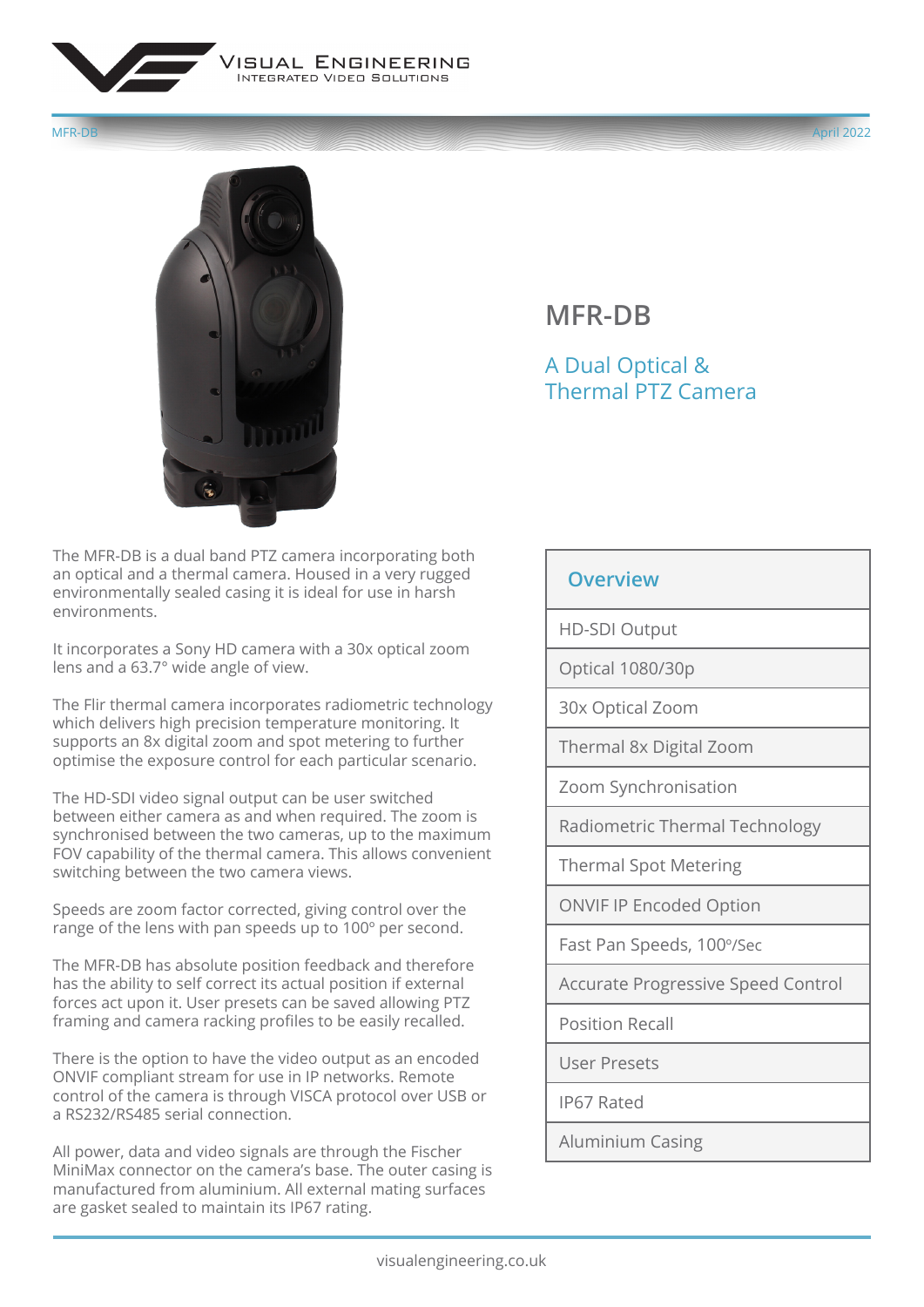

MFR-DB April 2022



## **MFR-DB**

## A Dual Optical & Thermal PTZ Camera

The MFR-DB is a dual band PTZ camera incorporating both an optical and a thermal camera. Housed in a very rugged environmentally sealed casing it is ideal for use in harsh environments.

It incorporates a Sony HD camera with a 30x optical zoom lens and a 63.7° wide angle of view.

The Flir thermal camera incorporates radiometric technology which delivers high precision temperature monitoring. It supports an 8x digital zoom and spot metering to further optimise the exposure control for each particular scenario.

The HD-SDI video signal output can be user switched between either camera as and when required. The zoom is synchronised between the two cameras, up to the maximum FOV capability of the thermal camera. This allows convenient switching between the two camera views.

Speeds are zoom factor corrected, giving control over the range of the lens with pan speeds up to 100º per second.

The MFR-DB has absolute position feedback and therefore has the ability to self correct its actual position if external forces act upon it. User presets can be saved allowing PTZ framing and camera racking profiles to be easily recalled.

There is the option to have the video output as an encoded ONVIF compliant stream for use in IP networks. Remote control of the camera is through VISCA protocol over USB or a RS232/RS485 serial connection.

All power, data and video signals are through the Fischer MiniMax connector on the camera's base. The outer casing is manufactured from aluminium. All external mating surfaces are gasket sealed to maintain its IP67 rating.

## **Overview**

HD-SDI Output

Optical 1080/30p

30x Optical Zoom

Thermal 8x Digital Zoom

Zoom Synchronisation

Radiometric Thermal Technology

Thermal Spot Metering

ONVIF IP Encoded Option

Fast Pan Speeds, 100º/Sec

Accurate Progressive Speed Control

Position Recall

User Presets

IP67 Rated

Aluminium Casing